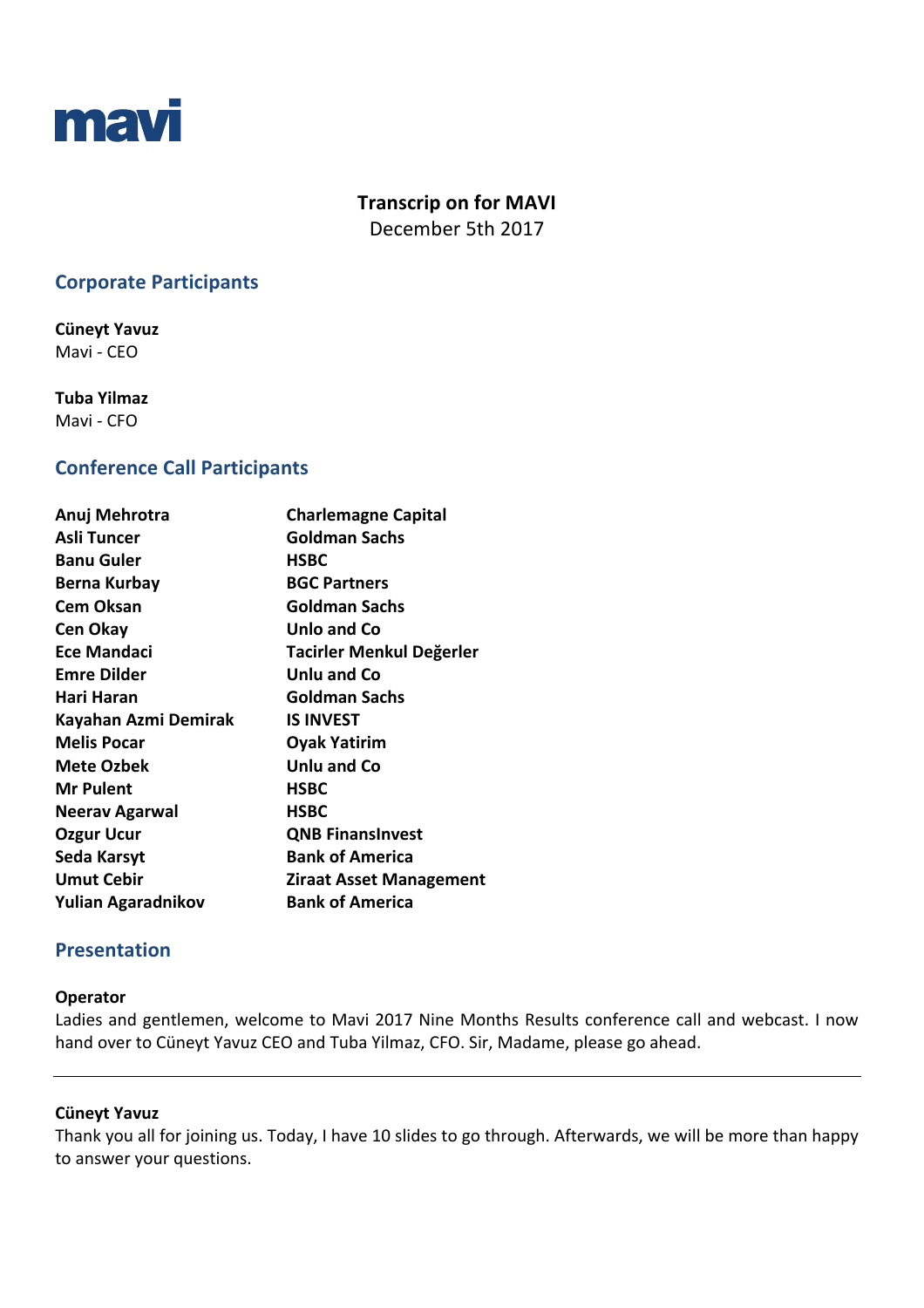

# **Transcrip on for MAVI**

December 5th 2017

# **Corporate Participants**

**Cüneyt Yavuz**  Mavi - CEO

**Tuba Yilmaz**  Mavi - CFO

## **Conference Call Participants**

| Anuj Mehrotra        | <b>Charlemagne Capital</b>     |
|----------------------|--------------------------------|
| Asli Tuncer          | Goldman Sachs                  |
| <b>Banu Guler</b>    | <b>HSBC</b>                    |
| Berna Kurbay         | <b>BGC Partners</b>            |
| <b>Cem Oksan</b>     | Goldman Sachs                  |
| Cen Okay             | Unlo and Co                    |
| Ece Mandaci          | Tacirler Menkul Değerler       |
| <b>Emre Dilder</b>   | <b>Unlu and Co</b>             |
| Hari Haran           | <b>Goldman Sachs</b>           |
| Kayahan Azmi Demirak | <b>IS INVEST</b>               |
| <b>Melis Pocar</b>   | <b>Oyak Yatirim</b>            |
| Mete Ozbek           | Unlu and Co                    |
| <b>Mr Pulent</b>     | <b>HSBC</b>                    |
| Neerav Agarwal       | <b>HSBC</b>                    |
| Ozgur Ucur           | <b>QNB FinansInvest</b>        |
| Seda Karsyt          | <b>Bank of America</b>         |
| <b>Umut Cebir</b>    | <b>Ziraat Asset Management</b> |
| Yulian Agaradnikov   | <b>Bank of America</b>         |
|                      |                                |

# **Presentation**

## **Operator**

Ladies and gentlemen, welcome to Mavi 2017 Nine Months Results conference call and webcast. I now hand over to Cüneyt Yavuz CEO and Tuba Yilmaz, CFO. Sir, Madame, please go ahead.

## **Cüneyt Yavuz**

Thank you all for joining us. Today, I have 10 slides to go through. Afterwards, we will be more than happy to answer your questions.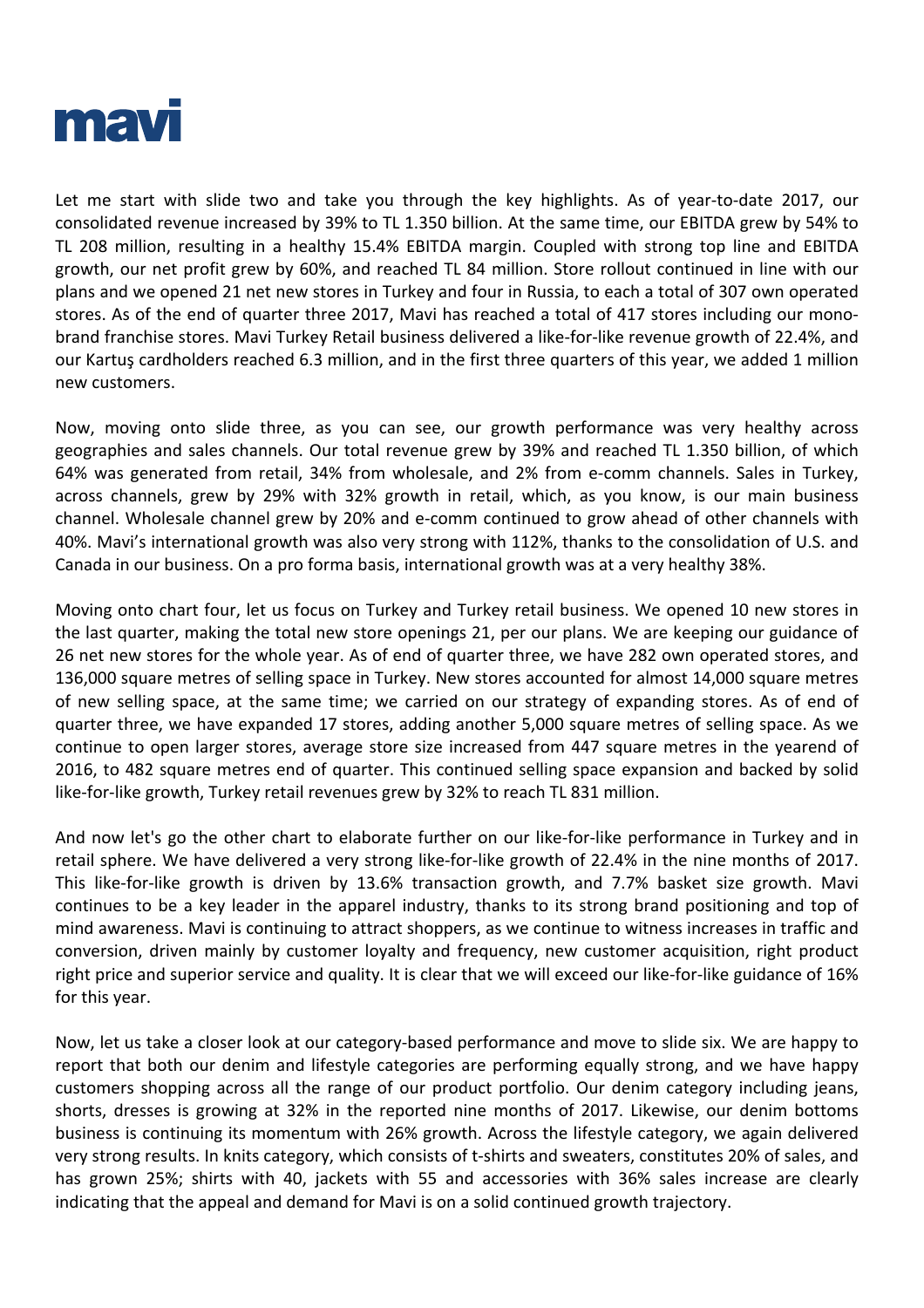

Let me start with slide two and take you through the key highlights. As of year-to-date 2017, our consolidated revenue increased by 39% to TL 1.350 billion. At the same time, our EBITDA grew by 54% to TL 208 million, resulting in a healthy 15.4% EBITDA margin. Coupled with strong top line and EBITDA growth, our net profit grew by 60%, and reached TL 84 million. Store rollout continued in line with our plans and we opened 21 net new stores in Turkey and four in Russia, to each a total of 307 own operated stores. As of the end of quarter three 2017, Mavi has reached a total of 417 stores including our monobrand franchise stores. Mavi Turkey Retail business delivered a like-for-like revenue growth of 22.4%, and our Kartuş cardholders reached 6.3 million, and in the first three quarters of this year, we added 1 million new customers.

Now, moving onto slide three, as you can see, our growth performance was very healthy across geographies and sales channels. Our total revenue grew by 39% and reached TL 1.350 billion, of which 64% was generated from retail, 34% from wholesale, and 2% from e-comm channels. Sales in Turkey, across channels, grew by 29% with 32% growth in retail, which, as you know, is our main business channel. Wholesale channel grew by 20% and e-comm continued to grow ahead of other channels with 40%. Mavi's international growth was also very strong with 112%, thanks to the consolidation of U.S. and Canada in our business. On a pro forma basis, international growth was at a very healthy 38%.

Moving onto chart four, let us focus on Turkey and Turkey retail business. We opened 10 new stores in the last quarter, making the total new store openings 21, per our plans. We are keeping our guidance of 26 net new stores for the whole year. As of end of quarter three, we have 282 own operated stores, and 136,000 square metres of selling space in Turkey. New stores accounted for almost 14,000 square metres of new selling space, at the same time; we carried on our strategy of expanding stores. As of end of quarter three, we have expanded 17 stores, adding another 5,000 square metres of selling space. As we continue to open larger stores, average store size increased from 447 square metres in the yearend of 2016, to 482 square metres end of quarter. This continued selling space expansion and backed by solid like-for-like growth, Turkey retail revenues grew by 32% to reach TL 831 million.

And now let's go the other chart to elaborate further on our like-for-like performance in Turkey and in retail sphere. We have delivered a very strong like-for-like growth of 22.4% in the nine months of 2017. This like-for-like growth is driven by 13.6% transaction growth, and 7.7% basket size growth. Mavi continues to be a key leader in the apparel industry, thanks to its strong brand positioning and top of mind awareness. Mavi is continuing to attract shoppers, as we continue to witness increases in traffic and conversion, driven mainly by customer loyalty and frequency, new customer acquisition, right product right price and superior service and quality. It is clear that we will exceed our like-for-like guidance of 16% for this year.

Now, let us take a closer look at our category-based performance and move to slide six. We are happy to report that both our denim and lifestyle categories are performing equally strong, and we have happy customers shopping across all the range of our product portfolio. Our denim category including jeans, shorts, dresses is growing at 32% in the reported nine months of 2017. Likewise, our denim bottoms business is continuing its momentum with 26% growth. Across the lifestyle category, we again delivered very strong results. In knits category, which consists of t-shirts and sweaters, constitutes 20% of sales, and has grown 25%; shirts with 40, jackets with 55 and accessories with 36% sales increase are clearly indicating that the appeal and demand for Mavi is on a solid continued growth trajectory.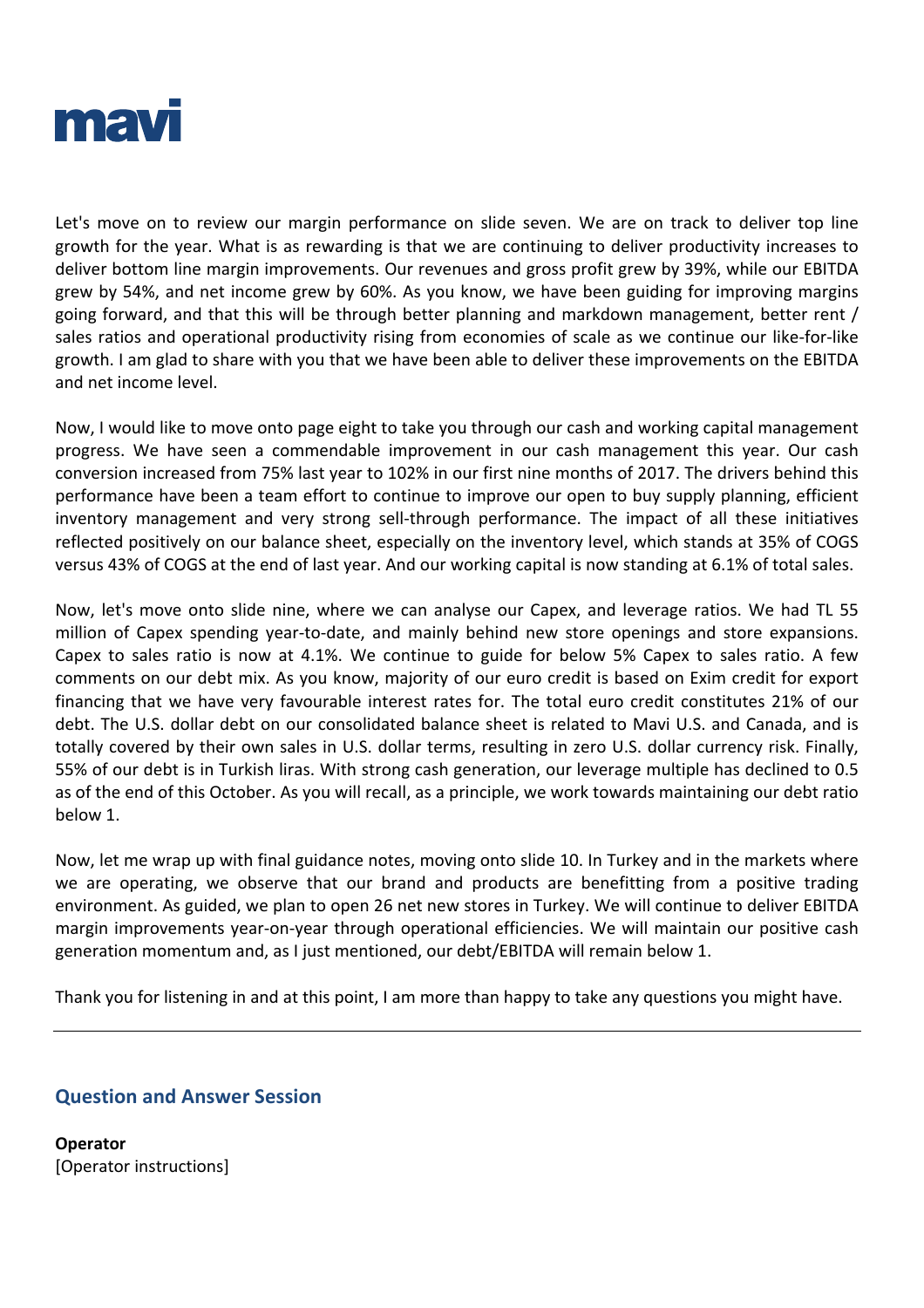

Let's move on to review our margin performance on slide seven. We are on track to deliver top line growth for the year. What is as rewarding is that we are continuing to deliver productivity increases to deliver bottom line margin improvements. Our revenues and gross profit grew by 39%, while our EBITDA grew by 54%, and net income grew by 60%. As you know, we have been guiding for improving margins going forward, and that this will be through better planning and markdown management, better rent / sales ratios and operational productivity rising from economies of scale as we continue our like-for-like growth. I am glad to share with you that we have been able to deliver these improvements on the EBITDA and net income level.

Now, I would like to move onto page eight to take you through our cash and working capital management progress. We have seen a commendable improvement in our cash management this year. Our cash conversion increased from 75% last year to 102% in our first nine months of 2017. The drivers behind this performance have been a team effort to continue to improve our open to buy supply planning, efficient inventory management and very strong sell-through performance. The impact of all these initiatives reflected positively on our balance sheet, especially on the inventory level, which stands at 35% of COGS versus 43% of COGS at the end of last year. And our working capital is now standing at 6.1% of total sales.

Now, let's move onto slide nine, where we can analyse our Capex, and leverage ratios. We had TL 55 million of Capex spending year-to-date, and mainly behind new store openings and store expansions. Capex to sales ratio is now at 4.1%. We continue to guide for below 5% Capex to sales ratio. A few comments on our debt mix. As you know, majority of our euro credit is based on Exim credit for export financing that we have very favourable interest rates for. The total euro credit constitutes 21% of our debt. The U.S. dollar debt on our consolidated balance sheet is related to Mavi U.S. and Canada, and is totally covered by their own sales in U.S. dollar terms, resulting in zero U.S. dollar currency risk. Finally, 55% of our debt is in Turkish liras. With strong cash generation, our leverage multiple has declined to 0.5 as of the end of this October. As you will recall, as a principle, we work towards maintaining our debt ratio below 1.

Now, let me wrap up with final guidance notes, moving onto slide 10. In Turkey and in the markets where we are operating, we observe that our brand and products are benefitting from a positive trading environment. As guided, we plan to open 26 net new stores in Turkey. We will continue to deliver EBITDA margin improvements year-on-year through operational efficiencies. We will maintain our positive cash generation momentum and, as I just mentioned, our debt/EBITDA will remain below 1.

Thank you for listening in and at this point, I am more than happy to take any questions you might have.

## **Question and Answer Session**

**Operator** [Operator instructions]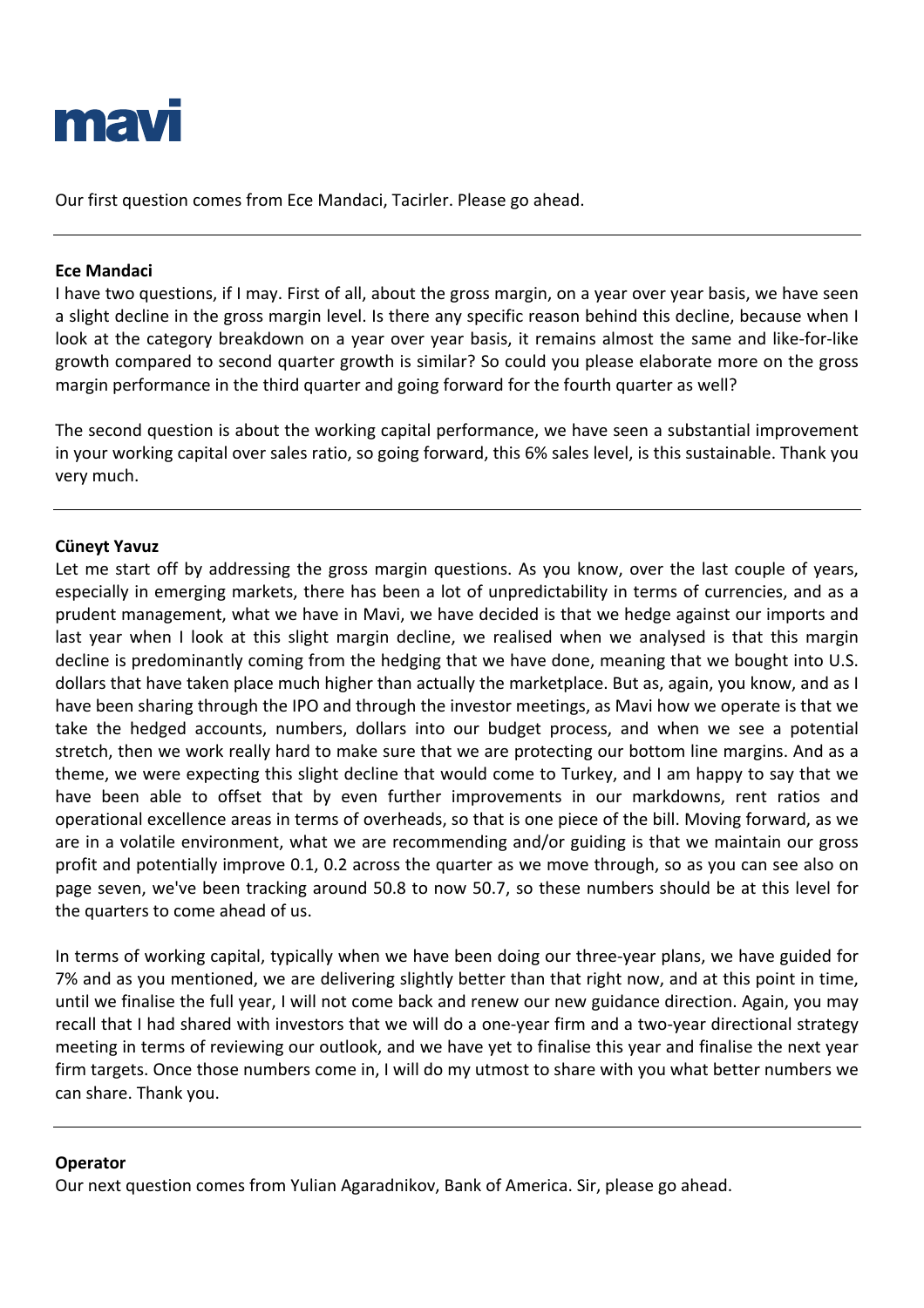

Our first question comes from Ece Mandaci, Tacirler. Please go ahead.

## **Ece Mandaci**

I have two questions, if I may. First of all, about the gross margin, on a year over year basis, we have seen a slight decline in the gross margin level. Is there any specific reason behind this decline, because when I look at the category breakdown on a year over year basis, it remains almost the same and like-for-like growth compared to second quarter growth is similar? So could you please elaborate more on the gross margin performance in the third quarter and going forward for the fourth quarter as well?

The second question is about the working capital performance, we have seen a substantial improvement in your working capital over sales ratio, so going forward, this 6% sales level, is this sustainable. Thank you very much.

#### **Cüneyt Yavuz**

Let me start off by addressing the gross margin questions. As you know, over the last couple of years, especially in emerging markets, there has been a lot of unpredictability in terms of currencies, and as a prudent management, what we have in Mavi, we have decided is that we hedge against our imports and last year when I look at this slight margin decline, we realised when we analysed is that this margin decline is predominantly coming from the hedging that we have done, meaning that we bought into U.S. dollars that have taken place much higher than actually the marketplace. But as, again, you know, and as I have been sharing through the IPO and through the investor meetings, as Mavi how we operate is that we take the hedged accounts, numbers, dollars into our budget process, and when we see a potential stretch, then we work really hard to make sure that we are protecting our bottom line margins. And as a theme, we were expecting this slight decline that would come to Turkey, and I am happy to say that we have been able to offset that by even further improvements in our markdowns, rent ratios and operational excellence areas in terms of overheads, so that is one piece of the bill. Moving forward, as we are in a volatile environment, what we are recommending and/or guiding is that we maintain our gross profit and potentially improve 0.1, 0.2 across the quarter as we move through, so as you can see also on page seven, we've been tracking around 50.8 to now 50.7, so these numbers should be at this level for the quarters to come ahead of us.

In terms of working capital, typically when we have been doing our three-year plans, we have guided for 7% and as you mentioned, we are delivering slightly better than that right now, and at this point in time, until we finalise the full year, I will not come back and renew our new guidance direction. Again, you may recall that I had shared with investors that we will do a one-year firm and a two-year directional strategy meeting in terms of reviewing our outlook, and we have yet to finalise this year and finalise the next year firm targets. Once those numbers come in, I will do my utmost to share with you what better numbers we can share. Thank you.

#### **Operator**

Our next question comes from Yulian Agaradnikov, Bank of America. Sir, please go ahead.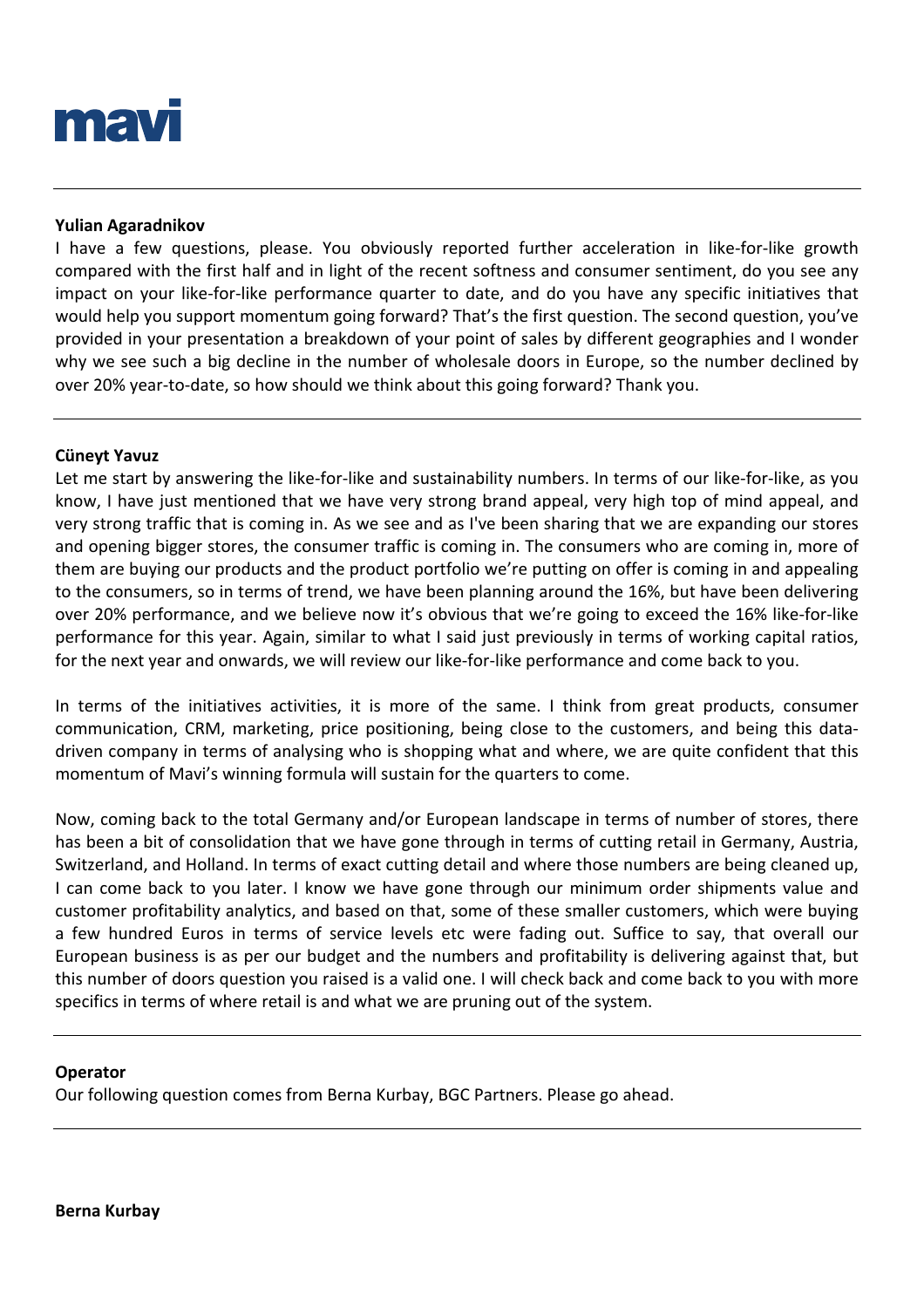

## **Yulian Agaradnikov**

I have a few questions, please. You obviously reported further acceleration in like-for-like growth compared with the first half and in light of the recent softness and consumer sentiment, do you see any impact on your like-for-like performance quarter to date, and do you have any specific initiatives that would help you support momentum going forward? That's the first question. The second question, you've provided in your presentation a breakdown of your point of sales by different geographies and I wonder why we see such a big decline in the number of wholesale doors in Europe, so the number declined by over 20% year-to-date, so how should we think about this going forward? Thank you.

#### **Cüneyt Yavuz**

Let me start by answering the like-for-like and sustainability numbers. In terms of our like-for-like, as you know, I have just mentioned that we have very strong brand appeal, very high top of mind appeal, and very strong traffic that is coming in. As we see and as I've been sharing that we are expanding our stores and opening bigger stores, the consumer traffic is coming in. The consumers who are coming in, more of them are buying our products and the product portfolio we're putting on offer is coming in and appealing to the consumers, so in terms of trend, we have been planning around the 16%, but have been delivering over 20% performance, and we believe now it's obvious that we're going to exceed the 16% like-for-like performance for this year. Again, similar to what I said just previously in terms of working capital ratios, for the next year and onwards, we will review our like-for-like performance and come back to you.

In terms of the initiatives activities, it is more of the same. I think from great products, consumer communication, CRM, marketing, price positioning, being close to the customers, and being this datadriven company in terms of analysing who is shopping what and where, we are quite confident that this momentum of Mavi's winning formula will sustain for the quarters to come.

Now, coming back to the total Germany and/or European landscape in terms of number of stores, there has been a bit of consolidation that we have gone through in terms of cutting retail in Germany, Austria, Switzerland, and Holland. In terms of exact cutting detail and where those numbers are being cleaned up, I can come back to you later. I know we have gone through our minimum order shipments value and customer profitability analytics, and based on that, some of these smaller customers, which were buying a few hundred Euros in terms of service levels etc were fading out. Suffice to say, that overall our European business is as per our budget and the numbers and profitability is delivering against that, but this number of doors question you raised is a valid one. I will check back and come back to you with more specifics in terms of where retail is and what we are pruning out of the system.

#### **Operator**

Our following question comes from Berna Kurbay, BGC Partners. Please go ahead.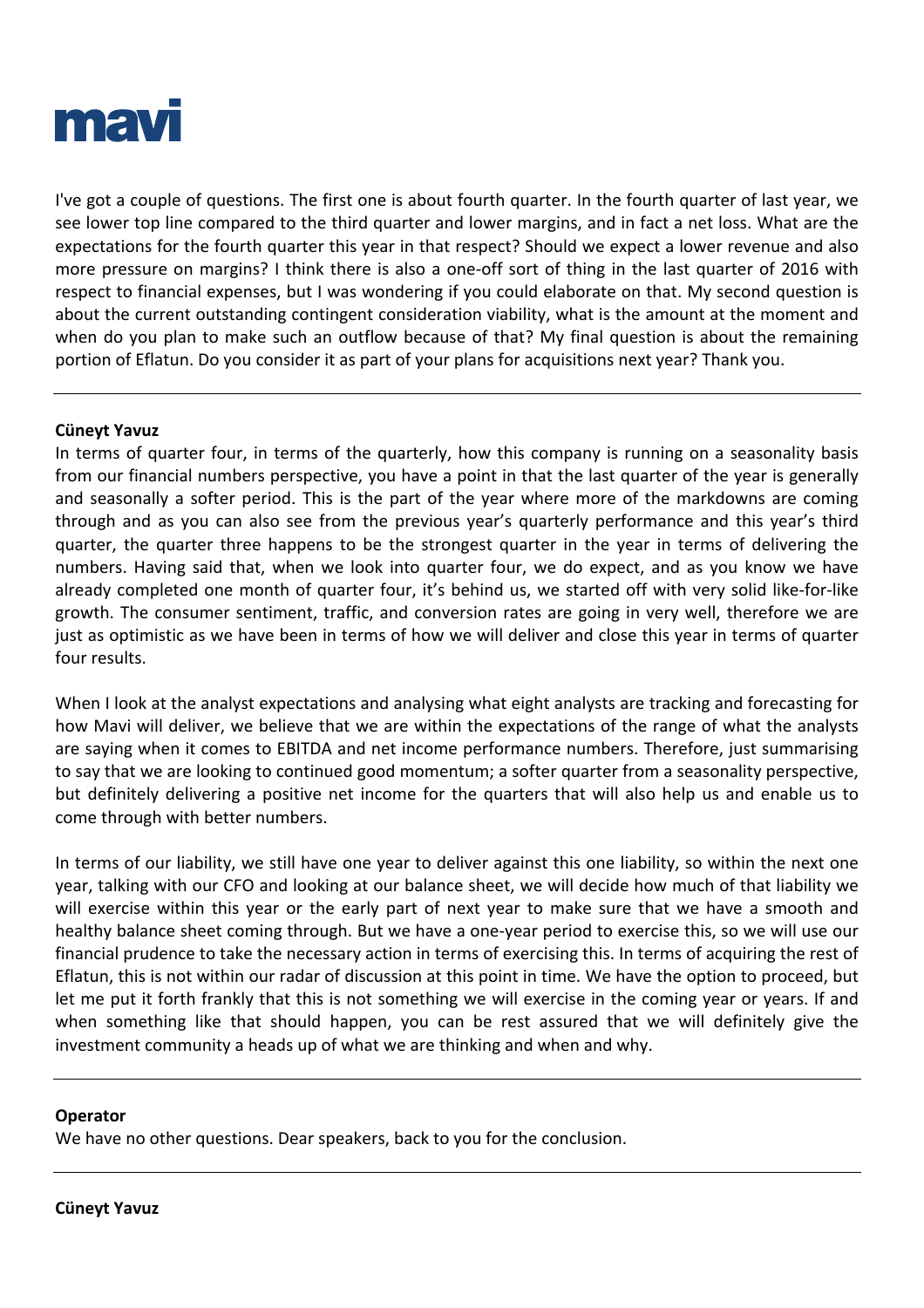

I've got a couple of questions. The first one is about fourth quarter. In the fourth quarter of last year, we see lower top line compared to the third quarter and lower margins, and in fact a net loss. What are the expectations for the fourth quarter this year in that respect? Should we expect a lower revenue and also more pressure on margins? I think there is also a one-off sort of thing in the last quarter of 2016 with respect to financial expenses, but I was wondering if you could elaborate on that. My second question is about the current outstanding contingent consideration viability, what is the amount at the moment and when do you plan to make such an outflow because of that? My final question is about the remaining portion of Eflatun. Do you consider it as part of your plans for acquisitions next year? Thank you.

#### **Cüneyt Yavuz**

In terms of quarter four, in terms of the quarterly, how this company is running on a seasonality basis from our financial numbers perspective, you have a point in that the last quarter of the year is generally and seasonally a softer period. This is the part of the year where more of the markdowns are coming through and as you can also see from the previous year's quarterly performance and this year's third quarter, the quarter three happens to be the strongest quarter in the year in terms of delivering the numbers. Having said that, when we look into quarter four, we do expect, and as you know we have already completed one month of quarter four, it's behind us, we started off with very solid like-for-like growth. The consumer sentiment, traffic, and conversion rates are going in very well, therefore we are just as optimistic as we have been in terms of how we will deliver and close this year in terms of quarter four results.

When I look at the analyst expectations and analysing what eight analysts are tracking and forecasting for how Mavi will deliver, we believe that we are within the expectations of the range of what the analysts are saying when it comes to EBITDA and net income performance numbers. Therefore, just summarising to say that we are looking to continued good momentum; a softer quarter from a seasonality perspective, but definitely delivering a positive net income for the quarters that will also help us and enable us to come through with better numbers.

In terms of our liability, we still have one year to deliver against this one liability, so within the next one year, talking with our CFO and looking at our balance sheet, we will decide how much of that liability we will exercise within this year or the early part of next year to make sure that we have a smooth and healthy balance sheet coming through. But we have a one-year period to exercise this, so we will use our financial prudence to take the necessary action in terms of exercising this. In terms of acquiring the rest of Eflatun, this is not within our radar of discussion at this point in time. We have the option to proceed, but let me put it forth frankly that this is not something we will exercise in the coming year or years. If and when something like that should happen, you can be rest assured that we will definitely give the investment community a heads up of what we are thinking and when and why.

#### **Operator**

We have no other questions. Dear speakers, back to you for the conclusion.